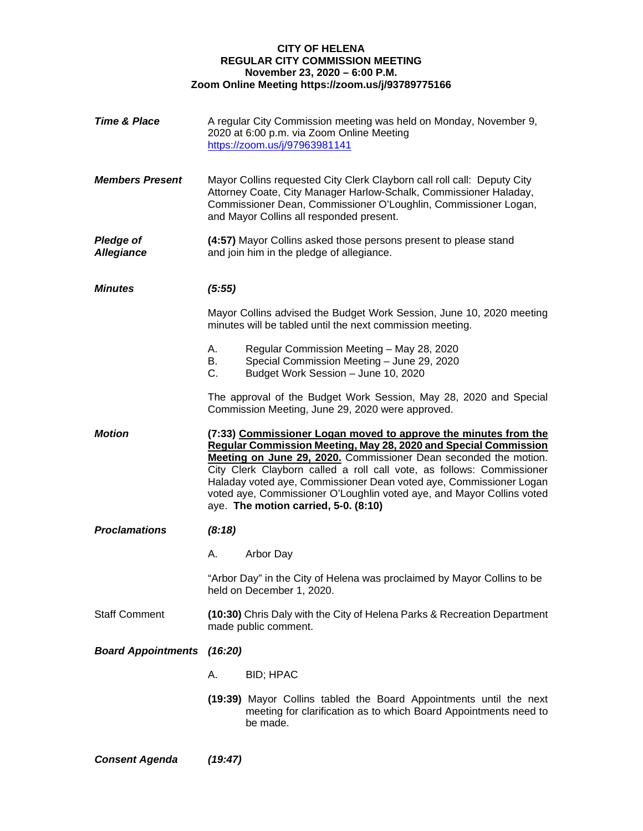#### **CITY OF HELENA REGULAR CITY COMMISSION MEETING November 23, 2020 – 6:00 P.M. Zoom Online Meeting https://zoom.us/j/93789775166**

| <b>Time &amp; Place</b>               |                                                                                                  | A regular City Commission meeting was held on Monday, November 9,<br>2020 at 6:00 p.m. via Zoom Online Meeting<br>https://zoom.us/j/97963981141                                                                                                                                                                                                                                                                                                                        |
|---------------------------------------|--------------------------------------------------------------------------------------------------|------------------------------------------------------------------------------------------------------------------------------------------------------------------------------------------------------------------------------------------------------------------------------------------------------------------------------------------------------------------------------------------------------------------------------------------------------------------------|
| <b>Members Present</b>                |                                                                                                  | Mayor Collins requested City Clerk Clayborn call roll call: Deputy City<br>Attorney Coate, City Manager Harlow-Schalk, Commissioner Haladay,<br>Commissioner Dean, Commissioner O'Loughlin, Commissioner Logan,<br>and Mayor Collins all responded present.                                                                                                                                                                                                            |
| <b>Pledge of</b><br><b>Allegiance</b> |                                                                                                  | (4:57) Mayor Collins asked those persons present to please stand<br>and join him in the pledge of allegiance.                                                                                                                                                                                                                                                                                                                                                          |
| <b>Minutes</b>                        | (5:55)                                                                                           |                                                                                                                                                                                                                                                                                                                                                                                                                                                                        |
|                                       |                                                                                                  | Mayor Collins advised the Budget Work Session, June 10, 2020 meeting<br>minutes will be tabled until the next commission meeting.                                                                                                                                                                                                                                                                                                                                      |
|                                       | А.<br>В.<br>C.                                                                                   | Regular Commission Meeting - May 28, 2020<br>Special Commission Meeting - June 29, 2020<br>Budget Work Session - June 10, 2020                                                                                                                                                                                                                                                                                                                                         |
|                                       |                                                                                                  | The approval of the Budget Work Session, May 28, 2020 and Special<br>Commission Meeting, June 29, 2020 were approved.                                                                                                                                                                                                                                                                                                                                                  |
| <b>Motion</b>                         |                                                                                                  | (7:33) Commissioner Logan moved to approve the minutes from the<br>Regular Commission Meeting, May 28, 2020 and Special Commission<br>Meeting on June 29, 2020. Commissioner Dean seconded the motion.<br>City Clerk Clayborn called a roll call vote, as follows: Commissioner<br>Haladay voted aye, Commissioner Dean voted aye, Commissioner Logan<br>voted aye, Commissioner O'Loughlin voted aye, and Mayor Collins voted<br>aye. The motion carried, 5-0. (8:10) |
| <b>Proclamations</b>                  | (8:18)                                                                                           |                                                                                                                                                                                                                                                                                                                                                                                                                                                                        |
|                                       | А.                                                                                               | Arbor Day                                                                                                                                                                                                                                                                                                                                                                                                                                                              |
|                                       |                                                                                                  | "Arbor Day" in the City of Helena was proclaimed by Mayor Collins to be<br>held on December 1, 2020.                                                                                                                                                                                                                                                                                                                                                                   |
| <b>Staff Comment</b>                  | (10:30) Chris Daly with the City of Helena Parks & Recreation Department<br>made public comment. |                                                                                                                                                                                                                                                                                                                                                                                                                                                                        |
| <b>Board Appointments (16:20)</b>     |                                                                                                  |                                                                                                                                                                                                                                                                                                                                                                                                                                                                        |
|                                       | Α.                                                                                               | <b>BID; HPAC</b>                                                                                                                                                                                                                                                                                                                                                                                                                                                       |
|                                       |                                                                                                  | (19:39) Mayor Collins tabled the Board Appointments until the next<br>meeting for clarification as to which Board Appointments need to<br>be made.                                                                                                                                                                                                                                                                                                                     |

*Consent Agenda (19:47)*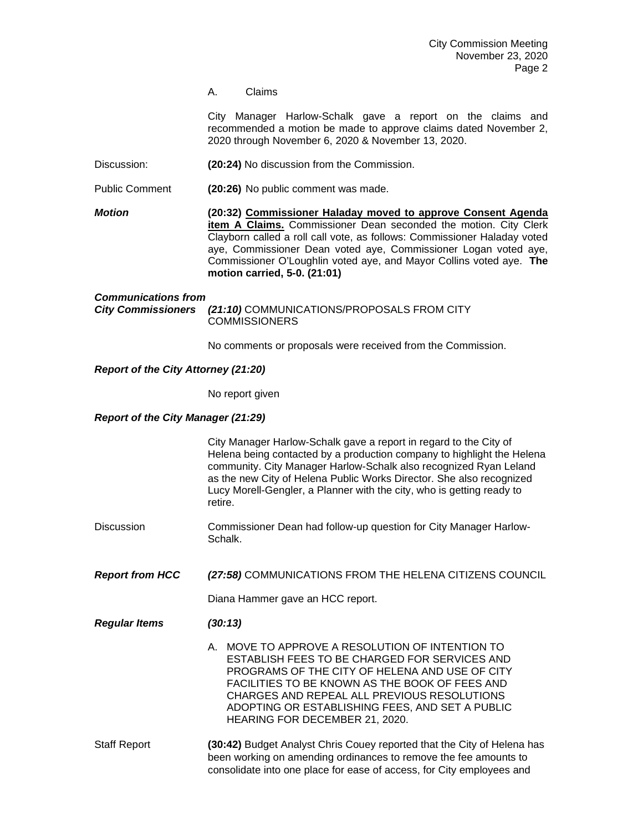A. Claims

City Manager Harlow-Schalk gave a report on the claims and recommended a motion be made to approve claims dated November 2, 2020 through November 6, 2020 & November 13, 2020.

Discussion: **(20:24)** No discussion from the Commission.

Public Comment **(20:26)** No public comment was made.

*Motion* **(20:32) Commissioner Haladay moved to approve Consent Agenda item A Claims.** Commissioner Dean seconded the motion. City Clerk Clayborn called a roll call vote, as follows: Commissioner Haladay voted aye, Commissioner Dean voted aye, Commissioner Logan voted aye, Commissioner O'Loughlin voted aye, and Mayor Collins voted aye. **The motion carried, 5-0. (21:01)**

# *Communications from City Commissioners (21:10)* COMMUNICATIONS/PROPOSALS FROM CITY **COMMISSIONERS**

No comments or proposals were received from the Commission.

## *Report of the City Attorney (21:20)*

No report given

### *Report of the City Manager (21:29)*

|                        | City Manager Harlow-Schalk gave a report in regard to the City of<br>Helena being contacted by a production company to highlight the Helena<br>community. City Manager Harlow-Schalk also recognized Ryan Leland<br>as the new City of Helena Public Works Director. She also recognized<br>Lucy Morell-Gengler, a Planner with the city, who is getting ready to<br>retire. |
|------------------------|------------------------------------------------------------------------------------------------------------------------------------------------------------------------------------------------------------------------------------------------------------------------------------------------------------------------------------------------------------------------------|
| <b>Discussion</b>      | Commissioner Dean had follow-up question for City Manager Harlow-<br>Schalk.                                                                                                                                                                                                                                                                                                 |
| <b>Report from HCC</b> | (27:58) COMMUNICATIONS FROM THE HELENA CITIZENS COUNCIL<br>Diana Hammer gave an HCC report.                                                                                                                                                                                                                                                                                  |
| <b>Regular Items</b>   | (30:13)<br>A. MOVE TO APPROVE A RESOLUTION OF INTENTION TO<br>ESTABLISH FEES TO BE CHARGED FOR SERVICES AND<br>PROGRAMS OF THE CITY OF HELENA AND USE OF CITY<br>FACILITIES TO BE KNOWN AS THE BOOK OF FEES AND<br>CHARGES AND REPEAL ALL PREVIOUS RESOLUTIONS<br>ADOPTING OR ESTABLISHING FEES, AND SET A PUBLIC<br>HEARING FOR DECEMBER 21, 2020.                          |
| <b>Staff Report</b>    | (30:42) Budget Analyst Chris Couey reported that the City of Helena has<br>been working on amending ordinances to remove the fee amounts to<br>consolidate into one place for ease of access, for City employees and                                                                                                                                                         |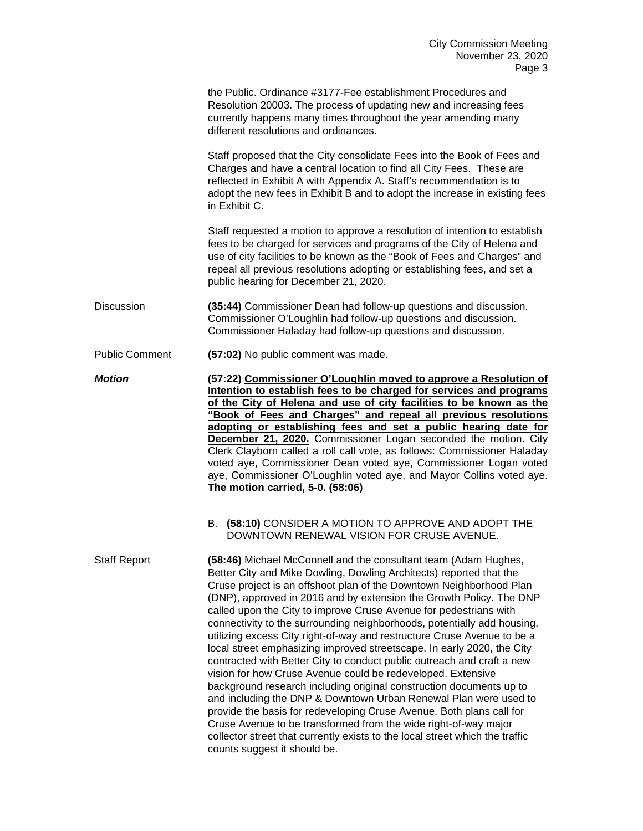the Public. Ordinance #3177-Fee establishment Procedures and Resolution 20003. The process of updating new and increasing fees currently happens many times throughout the year amending many different resolutions and ordinances.

Staff proposed that the City consolidate Fees into the Book of Fees and Charges and have a central location to find all City Fees. These are reflected in Exhibit A with Appendix A. Staff's recommendation is to adopt the new fees in Exhibit B and to adopt the increase in existing fees in Exhibit C.

Staff requested a motion to approve a resolution of intention to establish fees to be charged for services and programs of the City of Helena and use of city facilities to be known as the "Book of Fees and Charges" and repeal all previous resolutions adopting or establishing fees, and set a public hearing for December 21, 2020.

Discussion **(35:44)** Commissioner Dean had follow-up questions and discussion. Commissioner O'Loughlin had follow-up questions and discussion. Commissioner Haladay had follow-up questions and discussion.

Public Comment **(57:02)** No public comment was made.

*Motion* **(57:22) Commissioner O'Loughlin moved to approve a Resolution of Intention to establish fees to be charged for services and programs of the City of Helena and use of city facilities to be known as the "Book of Fees and Charges" and repeal all previous resolutions adopting or establishing fees and set a public hearing date for December 21, 2020.** Commissioner Logan seconded the motion. City Clerk Clayborn called a roll call vote, as follows: Commissioner Haladay voted aye, Commissioner Dean voted aye, Commissioner Logan voted aye, Commissioner O'Loughlin voted aye, and Mayor Collins voted aye. **The motion carried, 5-0. (58:06)**

> B. **(58:10)** CONSIDER A MOTION TO APPROVE AND ADOPT THE DOWNTOWN RENEWAL VISION FOR CRUSE AVENUE.

Staff Report **(58:46)** Michael McConnell and the consultant team (Adam Hughes, Better City and Mike Dowling, Dowling Architects) reported that the Cruse project is an offshoot plan of the Downtown Neighborhood Plan (DNP), approved in 2016 and by extension the Growth Policy. The DNP called upon the City to improve Cruse Avenue for pedestrians with connectivity to the surrounding neighborhoods, potentially add housing, utilizing excess City right-of-way and restructure Cruse Avenue to be a local street emphasizing improved streetscape. In early 2020, the City contracted with Better City to conduct public outreach and craft a new vision for how Cruse Avenue could be redeveloped. Extensive background research including original construction documents up to and including the DNP & Downtown Urban Renewal Plan were used to provide the basis for redeveloping Cruse Avenue. Both plans call for Cruse Avenue to be transformed from the wide right-of-way major collector street that currently exists to the local street which the traffic counts suggest it should be.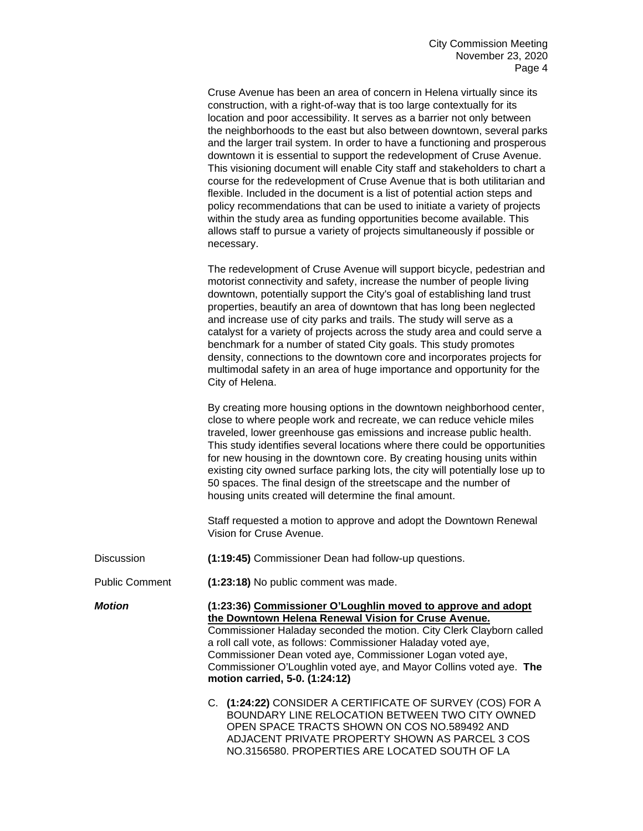Cruse Avenue has been an area of concern in Helena virtually since its construction, with a right-of-way that is too large contextually for its location and poor accessibility. It serves as a barrier not only between the neighborhoods to the east but also between downtown, several parks and the larger trail system. In order to have a functioning and prosperous downtown it is essential to support the redevelopment of Cruse Avenue. This visioning document will enable City staff and stakeholders to chart a course for the redevelopment of Cruse Avenue that is both utilitarian and flexible. Included in the document is a list of potential action steps and policy recommendations that can be used to initiate a variety of projects within the study area as funding opportunities become available. This allows staff to pursue a variety of projects simultaneously if possible or necessary.

The redevelopment of Cruse Avenue will support bicycle, pedestrian and motorist connectivity and safety, increase the number of people living downtown, potentially support the City's goal of establishing land trust properties, beautify an area of downtown that has long been neglected and increase use of city parks and trails. The study will serve as a catalyst for a variety of projects across the study area and could serve a benchmark for a number of stated City goals. This study promotes density, connections to the downtown core and incorporates projects for multimodal safety in an area of huge importance and opportunity for the City of Helena.

By creating more housing options in the downtown neighborhood center, close to where people work and recreate, we can reduce vehicle miles traveled, lower greenhouse gas emissions and increase public health. This study identifies several locations where there could be opportunities for new housing in the downtown core. By creating housing units within existing city owned surface parking lots, the city will potentially lose up to 50 spaces. The final design of the streetscape and the number of housing units created will determine the final amount.

Staff requested a motion to approve and adopt the Downtown Renewal Vision for Cruse Avenue.

| Discussion | (1:19:45) Commissioner Dean had follow-up questions. |
|------------|------------------------------------------------------|
|------------|------------------------------------------------------|

Public Comment **(1:23:18)** No public comment was made.

*Motion* **(1:23:36) Commissioner O'Loughlin moved to approve and adopt the Downtown Helena Renewal Vision for Cruse Avenue.** Commissioner Haladay seconded the motion. City Clerk Clayborn called a roll call vote, as follows: Commissioner Haladay voted aye, Commissioner Dean voted aye, Commissioner Logan voted aye, Commissioner O'Loughlin voted aye, and Mayor Collins voted aye. **The motion carried, 5-0. (1:24:12)**

> C. **(1:24:22)** CONSIDER A CERTIFICATE OF SURVEY (COS) FOR A BOUNDARY LINE RELOCATION BETWEEN TWO CITY OWNED OPEN SPACE TRACTS SHOWN ON COS NO.589492 AND ADJACENT PRIVATE PROPERTY SHOWN AS PARCEL 3 COS NO.3156580. PROPERTIES ARE LOCATED SOUTH OF LA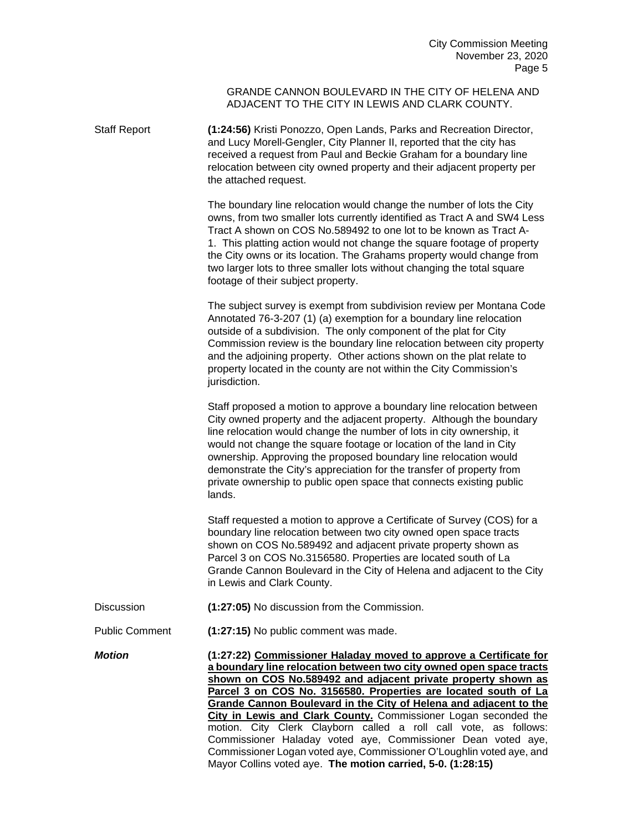#### GRANDE CANNON BOULEVARD IN THE CITY OF HELENA AND ADJACENT TO THE CITY IN LEWIS AND CLARK COUNTY.

Staff Report **(1:24:56)** Kristi Ponozzo, Open Lands, Parks and Recreation Director, and Lucy Morell-Gengler, City Planner II, reported that the city has received a request from Paul and Beckie Graham for a boundary line relocation between city owned property and their adjacent property per the attached request.

> The boundary line relocation would change the number of lots the City owns, from two smaller lots currently identified as Tract A and SW4 Less Tract A shown on COS No.589492 to one lot to be known as Tract A-1. This platting action would not change the square footage of property the City owns or its location. The Grahams property would change from two larger lots to three smaller lots without changing the total square footage of their subject property.

> The subject survey is exempt from subdivision review per Montana Code Annotated 76-3-207 (1) (a) exemption for a boundary line relocation outside of a subdivision. The only component of the plat for City Commission review is the boundary line relocation between city property and the adjoining property. Other actions shown on the plat relate to property located in the county are not within the City Commission's jurisdiction.

Staff proposed a motion to approve a boundary line relocation between City owned property and the adjacent property. Although the boundary line relocation would change the number of lots in city ownership, it would not change the square footage or location of the land in City ownership. Approving the proposed boundary line relocation would demonstrate the City's appreciation for the transfer of property from private ownership to public open space that connects existing public lands.

Staff requested a motion to approve a Certificate of Survey (COS) for a boundary line relocation between two city owned open space tracts shown on COS No.589492 and adjacent private property shown as Parcel 3 on COS No.3156580. Properties are located south of La Grande Cannon Boulevard in the City of Helena and adjacent to the City in Lewis and Clark County.

- Discussion **(1:27:05)** No discussion from the Commission.
- Public Comment **(1:27:15)** No public comment was made.

*Motion* **(1:27:22) Commissioner Haladay moved to approve a Certificate for a boundary line relocation between two city owned open space tracts shown on COS No.589492 and adjacent private property shown as Parcel 3 on COS No. 3156580. Properties are located south of La Grande Cannon Boulevard in the City of Helena and adjacent to the City in Lewis and Clark County.** Commissioner Logan seconded the motion. City Clerk Clayborn called a roll call vote, as follows: Commissioner Haladay voted aye, Commissioner Dean voted aye, Commissioner Logan voted aye, Commissioner O'Loughlin voted aye, and Mayor Collins voted aye. **The motion carried, 5-0. (1:28:15)**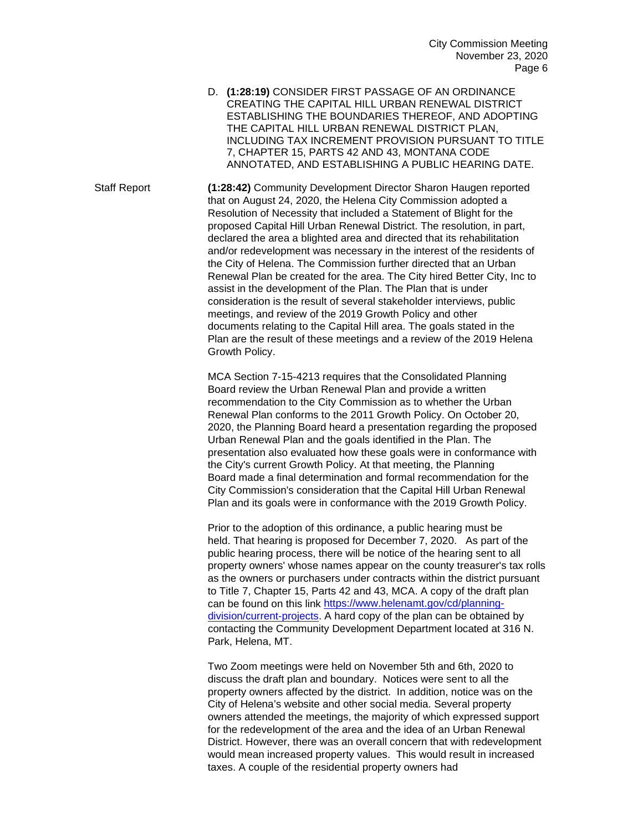D. **(1:28:19)** CONSIDER FIRST PASSAGE OF AN ORDINANCE CREATING THE CAPITAL HILL URBAN RENEWAL DISTRICT ESTABLISHING THE BOUNDARIES THEREOF, AND ADOPTING THE CAPITAL HILL URBAN RENEWAL DISTRICT PLAN, INCLUDING TAX INCREMENT PROVISION PURSUANT TO TITLE 7, CHAPTER 15, PARTS 42 AND 43, MONTANA CODE ANNOTATED, AND ESTABLISHING A PUBLIC HEARING DATE.

Staff Report **(1:28:42)** Community Development Director Sharon Haugen reported that on August 24, 2020, the Helena City Commission adopted a Resolution of Necessity that included a Statement of Blight for the proposed Capital Hill Urban Renewal District. The resolution, in part, declared the area a blighted area and directed that its rehabilitation and/or redevelopment was necessary in the interest of the residents of the City of Helena. The Commission further directed that an Urban Renewal Plan be created for the area. The City hired Better City, Inc to assist in the development of the Plan. The Plan that is under consideration is the result of several stakeholder interviews, public meetings, and review of the 2019 Growth Policy and other documents relating to the Capital Hill area. The goals stated in the Plan are the result of these meetings and a review of the 2019 Helena Growth Policy.

> MCA Section 7-15-4213 requires that the Consolidated Planning Board review the Urban Renewal Plan and provide a written recommendation to the City Commission as to whether the Urban Renewal Plan conforms to the 2011 Growth Policy. On October 20, 2020, the Planning Board heard a presentation regarding the proposed Urban Renewal Plan and the goals identified in the Plan. The presentation also evaluated how these goals were in conformance with the City's current Growth Policy. At that meeting, the Planning Board made a final determination and formal recommendation for the City Commission's consideration that the Capital Hill Urban Renewal Plan and its goals were in conformance with the 2019 Growth Policy.

Prior to the adoption of this ordinance, a public hearing must be held. That hearing is proposed for December 7, 2020. As part of the public hearing process, there will be notice of the hearing sent to all property owners' whose names appear on the county treasurer's tax rolls as the owners or purchasers under contracts within the district pursuant to Title 7, Chapter 15, Parts 42 and 43, MCA. A copy of the draft plan can be found on this link [https://www.helenamt.gov/cd/planning](https://www.helenamt.gov/cd/planning-division/current-projects)[division/current-projects.](https://www.helenamt.gov/cd/planning-division/current-projects) A hard copy of the plan can be obtained by contacting the Community Development Department located at 316 N. Park, Helena, MT.

Two Zoom meetings were held on November 5th and 6th, 2020 to discuss the draft plan and boundary. Notices were sent to all the property owners affected by the district. In addition, notice was on the City of Helena's website and other social media. Several property owners attended the meetings, the majority of which expressed support for the redevelopment of the area and the idea of an Urban Renewal District. However, there was an overall concern that with redevelopment would mean increased property values. This would result in increased taxes. A couple of the residential property owners had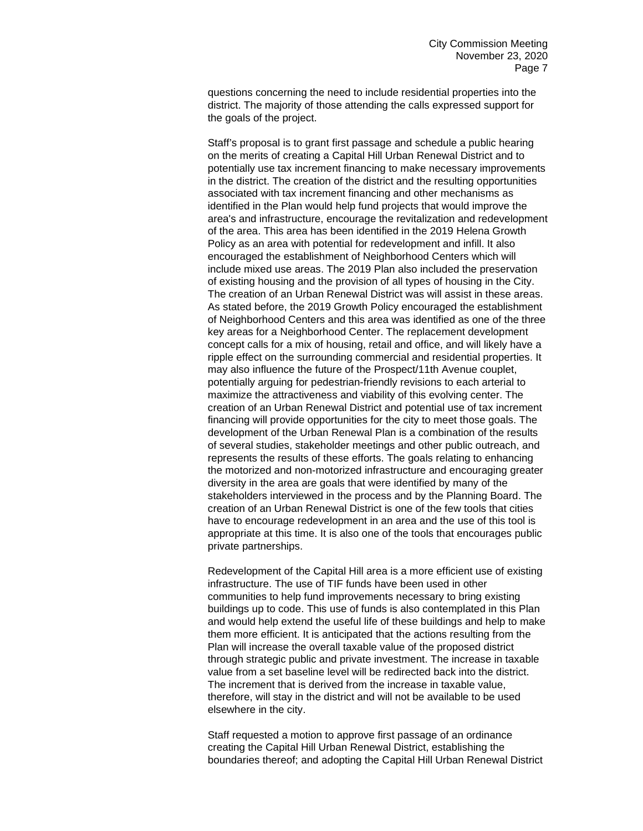questions concerning the need to include residential properties into the district. The majority of those attending the calls expressed support for the goals of the project.

Staff's proposal is to grant first passage and schedule a public hearing on the merits of creating a Capital Hill Urban Renewal District and to potentially use tax increment financing to make necessary improvements in the district. The creation of the district and the resulting opportunities associated with tax increment financing and other mechanisms as identified in the Plan would help fund projects that would improve the area's and infrastructure, encourage the revitalization and redevelopment of the area. This area has been identified in the 2019 Helena Growth Policy as an area with potential for redevelopment and infill. It also encouraged the establishment of Neighborhood Centers which will include mixed use areas. The 2019 Plan also included the preservation of existing housing and the provision of all types of housing in the City. The creation of an Urban Renewal District was will assist in these areas. As stated before, the 2019 Growth Policy encouraged the establishment of Neighborhood Centers and this area was identified as one of the three key areas for a Neighborhood Center. The replacement development concept calls for a mix of housing, retail and office, and will likely have a ripple effect on the surrounding commercial and residential properties. It may also influence the future of the Prospect/11th Avenue couplet, potentially arguing for pedestrian-friendly revisions to each arterial to maximize the attractiveness and viability of this evolving center. The creation of an Urban Renewal District and potential use of tax increment financing will provide opportunities for the city to meet those goals. The development of the Urban Renewal Plan is a combination of the results of several studies, stakeholder meetings and other public outreach, and represents the results of these efforts. The goals relating to enhancing the motorized and non-motorized infrastructure and encouraging greater diversity in the area are goals that were identified by many of the stakeholders interviewed in the process and by the Planning Board. The creation of an Urban Renewal District is one of the few tools that cities have to encourage redevelopment in an area and the use of this tool is appropriate at this time. It is also one of the tools that encourages public private partnerships.

Redevelopment of the Capital Hill area is a more efficient use of existing infrastructure. The use of TIF funds have been used in other communities to help fund improvements necessary to bring existing buildings up to code. This use of funds is also contemplated in this Plan and would help extend the useful life of these buildings and help to make them more efficient. It is anticipated that the actions resulting from the Plan will increase the overall taxable value of the proposed district through strategic public and private investment. The increase in taxable value from a set baseline level will be redirected back into the district. The increment that is derived from the increase in taxable value, therefore, will stay in the district and will not be available to be used elsewhere in the city.

Staff requested a motion to approve first passage of an ordinance creating the Capital Hill Urban Renewal District, establishing the boundaries thereof; and adopting the Capital Hill Urban Renewal District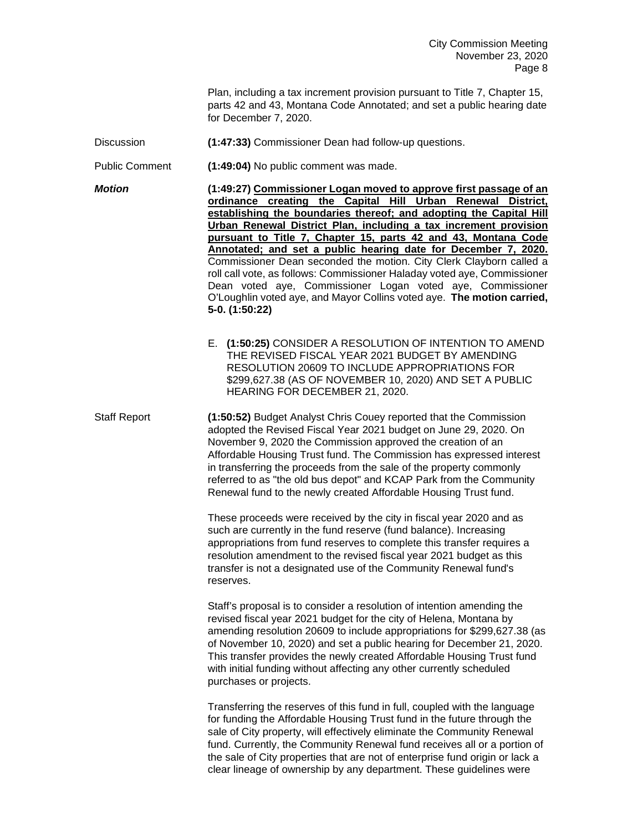Plan, including a tax increment provision pursuant to Title 7, Chapter 15, parts 42 and 43, Montana Code Annotated; and set a public hearing date for December 7, 2020.

- Discussion **(1:47:33)** Commissioner Dean had follow-up questions.
- Public Comment **(1:49:04)** No public comment was made.

*Motion* **(1:49:27) Commissioner Logan moved to approve first passage of an ordinance creating the Capital Hill Urban Renewal District, establishing the boundaries thereof; and adopting the Capital Hill Urban Renewal District Plan, including a tax increment provision pursuant to Title 7, Chapter 15, parts 42 and 43, Montana Code Annotated; and set a public hearing date for December 7, 2020.** Commissioner Dean seconded the motion. City Clerk Clayborn called a roll call vote, as follows: Commissioner Haladay voted aye, Commissioner Dean voted aye, Commissioner Logan voted aye, Commissioner O'Loughlin voted aye, and Mayor Collins voted aye. **The motion carried, 5-0. (1:50:22)**

> E. **(1:50:25)** CONSIDER A RESOLUTION OF INTENTION TO AMEND THE REVISED FISCAL YEAR 2021 BUDGET BY AMENDING RESOLUTION 20609 TO INCLUDE APPROPRIATIONS FOR \$299,627.38 (AS OF NOVEMBER 10, 2020) AND SET A PUBLIC HEARING FOR DECEMBER 21, 2020.

Staff Report **(1:50:52)** Budget Analyst Chris Couey reported that the Commission adopted the Revised Fiscal Year 2021 budget on June 29, 2020. On November 9, 2020 the Commission approved the creation of an Affordable Housing Trust fund. The Commission has expressed interest in transferring the proceeds from the sale of the property commonly referred to as "the old bus depot" and KCAP Park from the Community Renewal fund to the newly created Affordable Housing Trust fund.

> These proceeds were received by the city in fiscal year 2020 and as such are currently in the fund reserve (fund balance). Increasing appropriations from fund reserves to complete this transfer requires a resolution amendment to the revised fiscal year 2021 budget as this transfer is not a designated use of the Community Renewal fund's reserves.

Staff's proposal is to consider a resolution of intention amending the revised fiscal year 2021 budget for the city of Helena, Montana by amending resolution 20609 to include appropriations for \$299,627.38 (as of November 10, 2020) and set a public hearing for December 21, 2020. This transfer provides the newly created Affordable Housing Trust fund with initial funding without affecting any other currently scheduled purchases or projects.

Transferring the reserves of this fund in full, coupled with the language for funding the Affordable Housing Trust fund in the future through the sale of City property, will effectively eliminate the Community Renewal fund. Currently, the Community Renewal fund receives all or a portion of the sale of City properties that are not of enterprise fund origin or lack a clear lineage of ownership by any department. These guidelines were